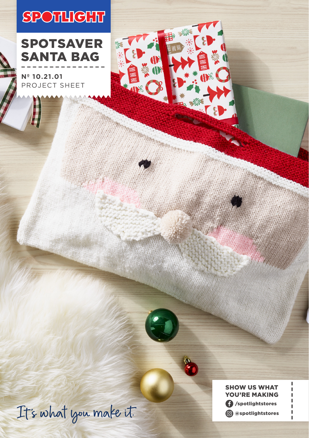# **SPOTHIGHT**



**Nº 10.21.01** PROJECT SHEET



YOU'RE MAKING /spotlightstores @spotlightstores

SHOW US WHAT

ï

1 f,

It's what you make it.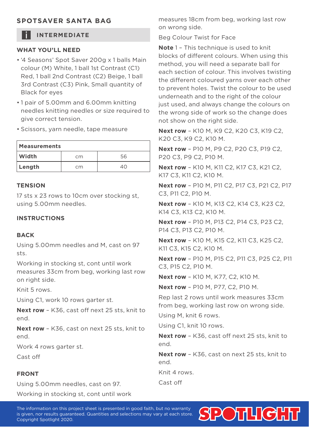### **SPOTSAVER SANTA BAG**

## **INTERMEDIATE**

#### **WHAT YOU'LL NEED**

- '4 Seasons' Spot Saver 200g x 1 balls Main colour (M) White, 1 ball 1st Contrast (C1) Red, 1 ball 2nd Contrast (C2) Beige, 1 ball 3rd Contrast (C3) Pink, Small quantity of Black for eyes
- 1 pair of 5.00mm and 6.00mm knitting needles knitting needles or size required to give correct tension.
- Scissors, yarn needle, tape measure

| Measurements |    |    |
|--------------|----|----|
| Width        | cm | 56 |
| Length       | cm | 40 |

#### **TENSION**

17 sts x 23 rows to 10cm over stocking st, using 5.00mm needles.

#### **INSTRUCTIONS**

#### **BACK**

Using 5.00mm needles and M, cast on 97 sts.

Working in stocking st, cont until work measures 33cm from beg, working last row on right side.

Knit 5 rows.

Using C1, work 10 rows garter st.

**Next row** – K36, cast off next 25 sts, knit to end.

**Next row** – K36, cast on next 25 sts, knit to end.

Work 4 rows garter st.

Cast off

#### **FRONT**

Using 5.00mm needles, cast on 97.

Working in stocking st, cont until work

measures 18cm from beg, working last row on wrong side.

Beg Colour Twist for Face

**Note** 1 – This technique is used to knit blocks of different colours. When using this method, you will need a separate ball for each section of colour. This involves twisting the different coloured yarns over each other to prevent holes. Twist the colour to be used underneath and to the right of the colour just used, and always change the colours on the wrong side of work so the change does not show on the right side.

**Next row** – K10 M, K9 C2, K20 C3, K19 C2, K20 C3, K9 C2, K10 M.

**Next row** – P10 M, P9 C2, P20 C3, P19 C2, P20 C3, P9 C2, P10 M.

**Next row** – K10 M, K11 C2, K17 C3, K21 C2, K17 C3, K11 C2, K10 M.

**Next row** – P10 M, P11 C2, P17 C3, P21 C2, P17 C3, P11 C2, P10 M.

**Next row** – K10 M, K13 C2, K14 C3, K23 C2, K14 C3, K13 C2, K10 M.

**Next row** – P10 M, P13 C2, P14 C3, P23 C2, P14 C3, P13 C2, P10 M.

**Next row** – K10 M, K15 C2, K11 C3, K25 C2, K11 C3, K15 C2, K10 M.

**Next row** – P10 M, P15 C2, P11 C3, P25 C2, P11 C3, P15 C2, P10 M.

**Next row** – K10 M, K77, C2, K10 M.

**Next row** – P10 M, P77, C2, P10 M.

Rep last 2 rows until work measures 33cm from beg, working last row on wrong side.

Using M, knit 6 rows.

Using C1, knit 10 rows.

**Next row** – K36, cast off next 25 sts, knit to end.

**Next row** – K36, cast on next 25 sts, knit to end.

Knit 4 rows.

Cast off

The information on this project sheet is presented in good faith, but no warranty is given, nor results guaranteed. Quantities and selections may vary at each store. Copyright Spotlight 2020.